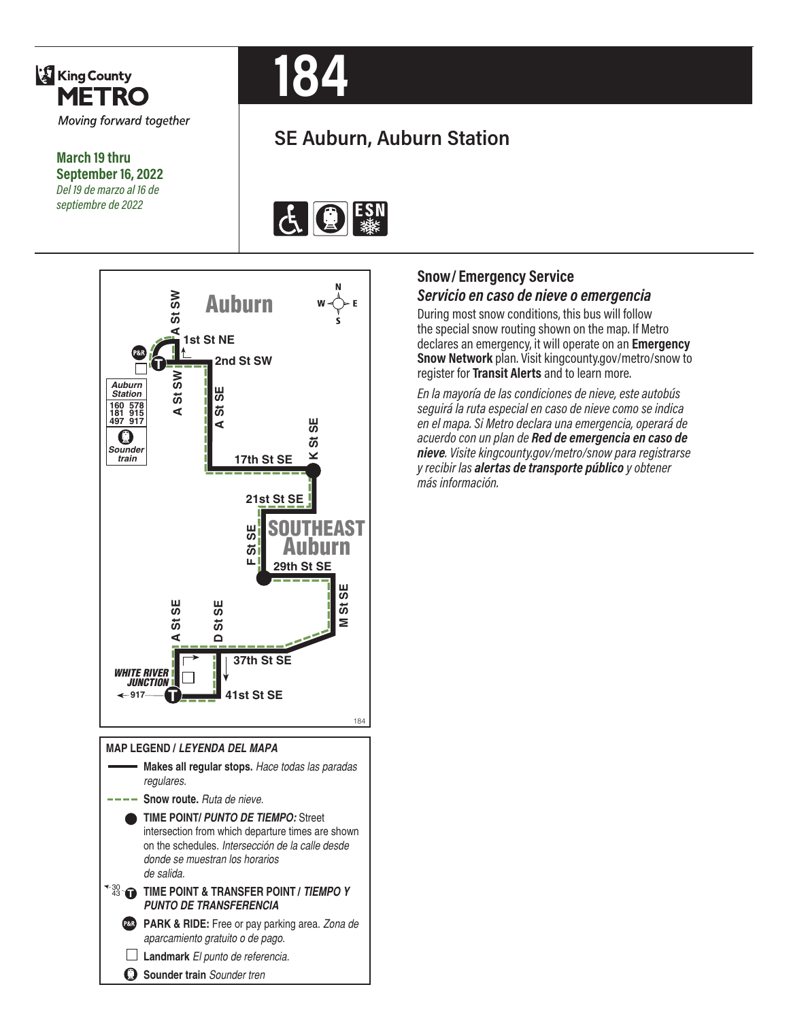

**March 19 thru September 16, 2022** *Del 19 de marzo al 16 de septiembre de 2022*



# **SE Auburn, Auburn Station**





#### **MAP LEGEND /** *LEYENDA DEL MAPA* **Makes all regular stops.** *Hace todas las paradas regulares.* **Snow route.** *Ruta de nieve.* **TIME POINT/** *PUNTO DE TIEMPO:* Street intersection from which departure times are shown on the schedules. *Intersección de la calle desde donde se muestran los horarios de salida.* **TIME POINT & TRANSFER POINT / TIEMPO Y** *PUNTO DE TRANSFERENCIA* **PARK & RIDE:** Free or pay parking area. *Zona de aparcamiento gratuito o de pago.* **Landmark** *El punto de referencia.* O **Sounder train** *Sounder tren*

## **Snow/ Emergency Service**  *Servicio en caso de nieve o emergencia*

During most snow conditions, this bus will follow the special snow routing shown on the map. If Metro declares an emergency, it will operate on an **Emergency Snow Network** plan. Visit kingcounty.gov/metro/snow to register for **Transit Alerts** and to learn more.

*En la mayoría de las condiciones de nieve, este autobús seguirá la ruta especial en caso de nieve como se indica en el mapa. Si Metro declara una emergencia, operará de acuerdo con un plan de Red de emergencia en caso de nieve. Visite kingcounty.gov/metro/snow para registrarse y recibir las alertas de transporte público y obtener más información.*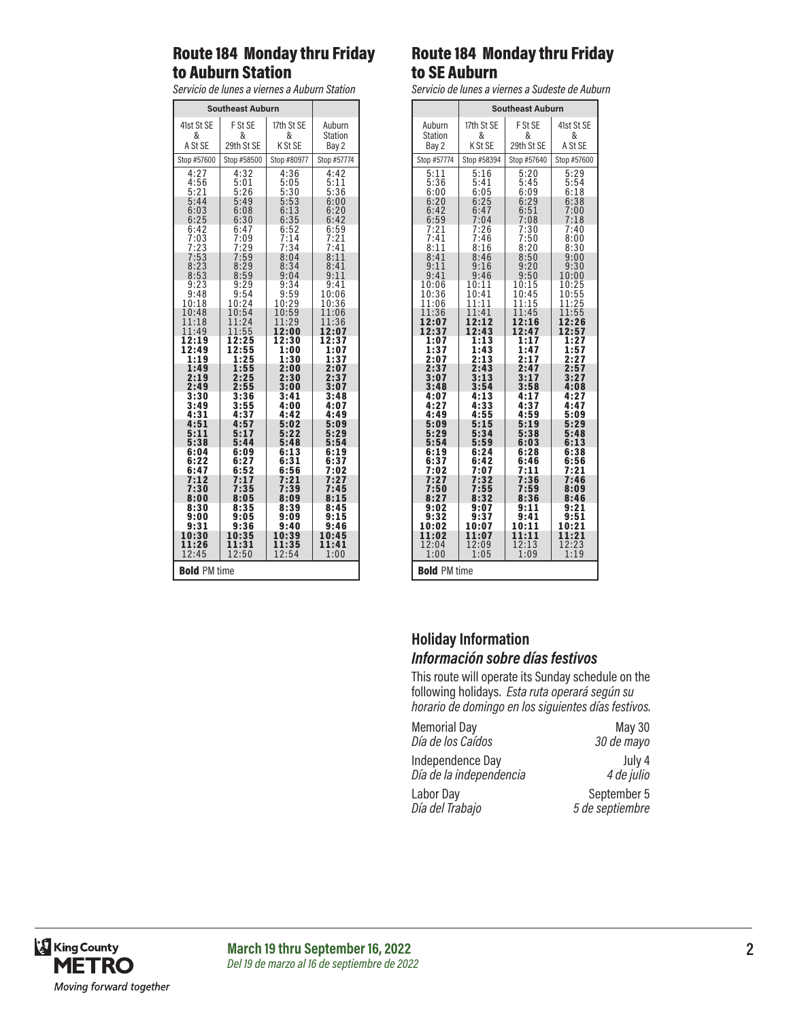#### Route 184 Monday thru Friday to Auburn Station

*Servicio de lunes a viernes a Auburn Station*

| <b>Southeast Auburn</b>      |                              |                                  |                                     |
|------------------------------|------------------------------|----------------------------------|-------------------------------------|
| 41st St SE                   | F St SE                      | 17th St SE                       | Auburn                              |
| &                            | &                            | &                                | <b>Station</b>                      |
| A St SE                      | 29th St SE                   | K St SE                          | Bay 2                               |
| Stop #57600                  | Stop #58500                  | Stop #80977                      | Stop #57774                         |
| 4:27                         | 4:32                         | 4:36                             | 4:42                                |
| 4:56                         | 5:01                         | 5:05                             | 5:11                                |
| 5:21                         | 5:26                         | 5:30                             | 5:36                                |
| 5:44                         | 5:49                         | 5:53                             | 6:00                                |
| 6:03                         | 6:08                         | 6:13                             | 6:20                                |
| 6:25                         | 6:30                         | 6:35                             | 6:42                                |
| 6:42<br>7:03<br>7:23<br>7:53 | 6:47<br>7:09<br>7:29<br>7:59 | $6:52$<br>$7:14$<br>7:34<br>8:04 | $\frac{6:59}{7:21}$<br>7:41<br>8:11 |
| 8:23<br>8:53<br>9:23         | 8:29<br>8:59<br>9:29         | 8:34<br>9:04<br>9:34             | 8:41<br>9:11                        |
| 9:48<br>10:18                | 9:54<br>10:24                | 9:59<br>10:29                    | 9:41<br>10:06<br>10:36              |
| 10:48                        | 10:54                        | 10:59                            | 11:06                               |
| 11:18                        | 11:24                        | 11:29                            | 11:36                               |
| 11:49                        | 11:55                        | 12:00                            | 12:07                               |
| 12:19                        | 12:25                        | 12:30                            | 12:37                               |
| 12:49                        | 12:55                        | 1:00                             | 1:07                                |
| 1:19                         | 1:25                         | 1:30                             | 1:37                                |
| 1:49                         | 1:55                         | 2:00                             | 2:07                                |
| 2:19                         | 2:25                         | 2:30                             | 2:37                                |
| 2:49                         | 2:55                         | 3:00                             | 3:07                                |
| 3:30                         | 3:36                         | 3:41                             | 3:48                                |
| 3:49                         | 3:55                         | 4:00                             | 4:07                                |
| 4:31                         | 4:37                         | 4:42                             | 4:49                                |
| 4:51                         | 4:57                         | 5:02                             | 5:09                                |
| 5:11                         | 5:1                          | 5:22                             | 5:29                                |
| 5:38                         | 5:44                         | 5:48                             | 5:54                                |
| 6:04                         | 6:09                         | 6:13                             | 6:19                                |
| 6:22                         | 6:27                         | 6:31                             | 6:37                                |
| 6:47                         | 6:52                         | 6:56                             | 7:02                                |
| 7:12<br>7:30<br>8:00         | 7:17<br>7:35<br>8:05         | 7:21<br>:39<br>7<br>8:09         | 7:27<br>7:45<br>8:15                |
| 8:30                         | 8:35                         | 8:39                             | 8:45                                |
| 9:00                         | 9:05                         | 9:09                             | 9:15                                |
| 9:31                         | 9:36                         | 9:40                             | 9:46                                |
| 10:30                        | 10:35                        | 10:39                            | 10:45                               |
| 11:26                        | 11:31                        | 11:35                            | 11:41                               |
| 12:45                        | 12:50                        | 12:54                            | 1:00                                |
| <b>Bold PM time</b>          |                              |                                  |                                     |

### Route 184 Monday thru Friday to SE Auburn

*Servicio de lunes a viernes a Sudeste de Auburn*

|                              | <b>Southeast Auburn</b> |                    |                   |
|------------------------------|-------------------------|--------------------|-------------------|
| Auburn                       | 17th St SE              | F St SE            | 41st St SE        |
| <b>Station</b><br>Bay 2      | &<br>K St SE            | &<br>29th St SE    | &<br>A St SE      |
| Stop #57774                  | Stop #58394             | Stop #57640        | Stop #57600       |
| 5:11                         | 5:16                    | 5:20               | 5:29              |
| 5:36                         | 5:41                    | 5:45               | 5:54              |
| 6:00                         | 6:05                    | 6:09               | 6:18              |
| 6:20<br>6:42                 | 6:25<br>6:47            | 6:29<br>6:51       | 6:38<br>7:00      |
| 6:59                         | 7:04                    | 7:08               | 7:18              |
| 7:21                         | 7:26                    | 7:30               | 7:40              |
| 7:41<br>8:11                 | 7:46<br>8:16            | 7:50<br>8:20       | 8:00<br>8:30      |
| 8:41                         | 8:46                    | 8:50               | 9:00              |
| 9:11                         | 9:16                    | 9:20               | 9:30              |
| 9:41<br>10:06                | 9:46<br>10:11           | 9:50<br>10:15      | 10:00<br>10:25    |
| 10:36                        | 10:41                   | 10:45              | 10:55             |
| 1:06<br>1                    | 1:<br>11<br>1           | 1:15<br>1          | 25<br>1:          |
| 11:36<br>2:07<br>1           | 11:41<br>2:12<br>1      | 11:45<br>2:16<br>1 | 1:55<br>1<br>2:26 |
| 12:37                        | 12:43                   | 12:47              | 12:57             |
| 1:07<br>1:37                 | 1:13<br>1:43            | 1:17<br>1:47       | 1:27<br>1:57      |
| 2:07                         | 2:13                    | 2:17               | 2:27              |
| 2:37                         | 2:43                    | 2:47               | 2:57              |
| 3:07<br>3:48                 | 3:13<br>3:54            | 3:17<br>3:58       | 3:27<br>4:08      |
| 4:07                         | 4:13                    | 4:17               | 4:27              |
| 4:27                         | :33                     | :37                | 4:47              |
| 4:49<br>5:09                 | 4:55<br>5:15            | 4:59<br>5:19       | 5:09<br>5:29      |
| 5:29                         | 5:34                    | 5:38               | 5:48              |
| 5:54                         | 5:59                    | 6:03               | 6:13              |
| 6:19<br>6:37                 | 6:24<br>6:42            | 6:28<br>6:46       | 6:38<br>6:56      |
| 7:02                         | 7:07                    | 7:11               | 7:21              |
| $\cdot 27$                   | $^{\prime}$ :32         | ':36               | 7:46              |
| :50<br>8:27                  | 7:55<br>:32<br>8        | 7:59<br>:36<br>x   | 8:09<br>8:46      |
| 9:02                         | 9:07                    | 9:11               | 9:21              |
| 9:32                         | 9:37                    | 9:41               | 9:51              |
| 10:02<br>1<br>1:02           | 10:07<br>1:07<br>1      | 10:1<br>1:11<br>1  | 10:21<br>1:21     |
| 12:04                        | 12:09                   | 12:13              | 12:23             |
| 1:09<br>1:19<br>1:00<br>1:05 |                         |                    |                   |
| <b>Bold PM time</b>          |                         |                    |                   |

#### **Holiday Information** *Información sobre días festivos*

This route will operate its Sunday schedule on the following holidays. *Esta ruta operará según su horario de domingo en los siguientes días festivos.*

| <b>Memorial Day</b>     | May 30          |
|-------------------------|-----------------|
| Día de los Caídos       | 30 de mayo      |
| Independence Day        | July 4          |
| Día de la independencia | 4 de julio      |
| Labor Day               | September 5     |
| Día del Trabajo         | 5 de septiembre |